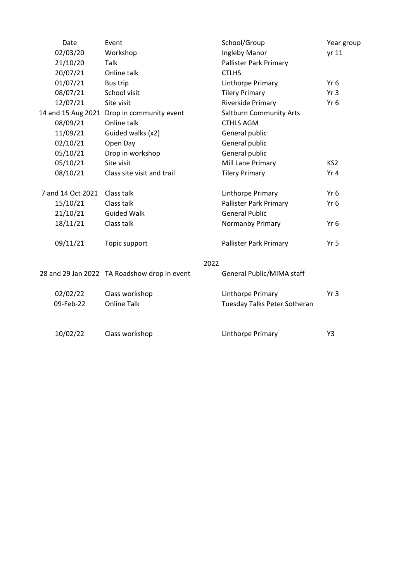| Date              | Event                                        | School/Group                   | Year group      |
|-------------------|----------------------------------------------|--------------------------------|-----------------|
| 02/03/20          | Workshop                                     | Ingleby Manor                  | yr 11           |
| 21/10/20          | Talk                                         | Pallister Park Primary         |                 |
| 20/07/21          | Online talk                                  | <b>CTLHS</b>                   |                 |
| 01/07/21          | <b>Bus trip</b>                              | Linthorpe Primary              | Yr <sub>6</sub> |
| 08/07/21          | School visit                                 | <b>Tilery Primary</b>          | Yr <sub>3</sub> |
| 12/07/21          | Site visit                                   | Riverside Primary              | Yr <sub>6</sub> |
|                   | 14 and 15 Aug 2021 Drop in community event   | <b>Saltburn Community Arts</b> |                 |
| 08/09/21          | Online talk                                  | <b>CTHLS AGM</b>               |                 |
| 11/09/21          | Guided walks (x2)                            | General public                 |                 |
| 02/10/21          | Open Day                                     | General public                 |                 |
| 05/10/21          | Drop in workshop                             | General public                 |                 |
| 05/10/21          | Site visit                                   | Mill Lane Primary              | KS <sub>2</sub> |
| 08/10/21          | Class site visit and trail                   | <b>Tilery Primary</b>          | Yr <sub>4</sub> |
| 7 and 14 Oct 2021 | Class talk                                   | Linthorpe Primary              | Yr <sub>6</sub> |
| 15/10/21          | Class talk                                   | Pallister Park Primary         | Yr 6            |
| 21/10/21          | <b>Guided Walk</b>                           | <b>General Public</b>          |                 |
| 18/11/21          | Class talk                                   | Normanby Primary               | Yr <sub>6</sub> |
| 09/11/21          | Topic support                                | Pallister Park Primary         | Yr 5            |
|                   |                                              | 2022                           |                 |
|                   | 28 and 29 Jan 2022 TA Roadshow drop in event | General Public/MIMA staff      |                 |
| 02/02/22          | Class workshop                               | Linthorpe Primary              | Yr3             |
| 09-Feb-22         | <b>Online Talk</b>                           | Tuesday Talks Peter Sotheran   |                 |
|                   |                                              |                                |                 |
| 10/02/22          | Class workshop                               | Linthorpe Primary              | Y3              |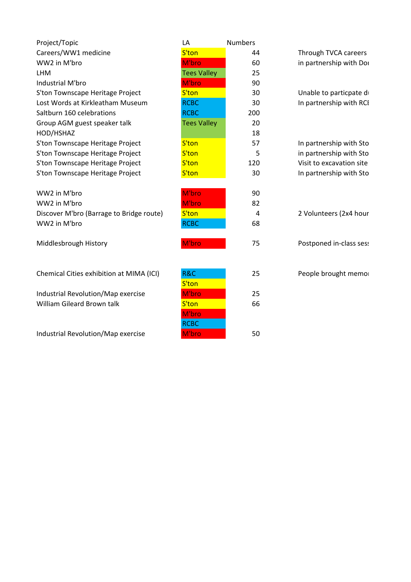| Project/Topic                            | LA                 | <b>Numbers</b> |                          |
|------------------------------------------|--------------------|----------------|--------------------------|
| Careers/WW1 medicine                     | S'ton              | 44             | Through TVCA careers     |
| WW2 in M'bro                             | M'bro              | 60             | in partnership with Dor  |
| <b>LHM</b>                               | <b>Tees Valley</b> | 25             |                          |
| Industrial M'bro                         | M'bro              | 90             |                          |
| S'ton Townscape Heritage Project         | S'ton              | 30             | Unable to particpate d   |
| Lost Words at Kirkleatham Museum         | <b>RCBC</b>        | 30             | In partnership with RCI  |
| Saltburn 160 celebrations                | <b>RCBC</b>        | 200            |                          |
| Group AGM guest speaker talk             | <b>Tees Valley</b> | 20             |                          |
| HOD/HSHAZ                                |                    | 18             |                          |
| S'ton Townscape Heritage Project         | S'ton              | 57             | In partnership with Sto  |
| S'ton Townscape Heritage Project         | S'ton              | 5              | in partnership with Sto  |
| S'ton Townscape Heritage Project         | S'ton              | 120            | Visit to excavation site |
| S'ton Townscape Heritage Project         | S'ton              | 30             | In partnership with Sto  |
|                                          |                    |                |                          |
| WW2 in M'bro                             | M'bro              | 90             |                          |
| WW2 in M'bro                             | M'bro              | 82             |                          |
| Discover M'bro (Barrage to Bridge route) | S'ton              | 4              | 2 Volunteers (2x4 hour   |
| WW2 in M'bro                             | <b>RCBC</b>        | 68             |                          |
|                                          |                    |                |                          |
| Middlesbrough History                    | M'bro              | 75             | Postponed in-class ses:  |
|                                          |                    |                |                          |
| Chemical Cities exhibition at MIMA (ICI) | R&C                | 25             | People brought memo      |
|                                          | S'ton              |                |                          |
| Industrial Revolution/Map exercise       | M'bro              | 25             |                          |
| William Gileard Brown talk               | S'ton              | 66             |                          |
|                                          | M'bro              |                |                          |
|                                          | <b>RCBC</b>        |                |                          |
| Industrial Revolution/Map exercise       | M'bro              | 50             |                          |